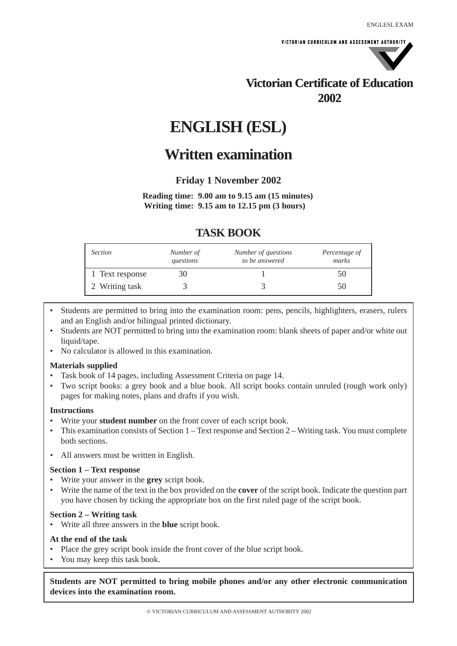VICTORIAN CURRICULUM AND ASSESSMENT AUTHORITY



# **Victorian Certificate of Education 2002**

# **ENGLISH (ESL)**

# **Written examination**

**Friday 1 November 2002**

**Reading time: 9.00 am to 9.15 am (15 minutes) Writing time: 9.15 am to 12.15 pm (3 hours)**

# **TASK BOOK**

| Section         | Number of<br>questions | Number of questions<br>to be answered | Percentage of<br>marks |
|-----------------|------------------------|---------------------------------------|------------------------|
| 1 Text response |                        |                                       | эU                     |
| 2 Writing task  |                        |                                       |                        |

- Students are permitted to bring into the examination room: pens, pencils, highlighters, erasers, rulers and an English and/or bilingual printed dictionary.
- Students are NOT permitted to bring into the examination room: blank sheets of paper and/or white out liquid/tape.
- No calculator is allowed in this examination.

## **Materials supplied**

- Task book of 14 pages, including Assessment Criteria on page 14.
- Two script books: a grey book and a blue book. All script books contain unruled (rough work only) pages for making notes, plans and drafts if you wish.

## **Instructions**

- Write your **student number** on the front cover of each script book.
- This examination consists of Section 1 Text response and Section 2 Writing task. You must complete both sections.
- All answers must be written in English.

## **Section 1 – Text response**

- Write your answer in the **grey** script book.
- Write the name of the text in the box provided on the **cover** of the script book. Indicate the question part you have chosen by ticking the appropriate box on the first ruled page of the script book.

## **Section 2 – Writing task**

• Write all three answers in the **blue** script book.

## **At the end of the task**

- Place the grey script book inside the front cover of the blue script book.
- You may keep this task book.

**Students are NOT permitted to bring mobile phones and/or any other electronic communication devices into the examination room.**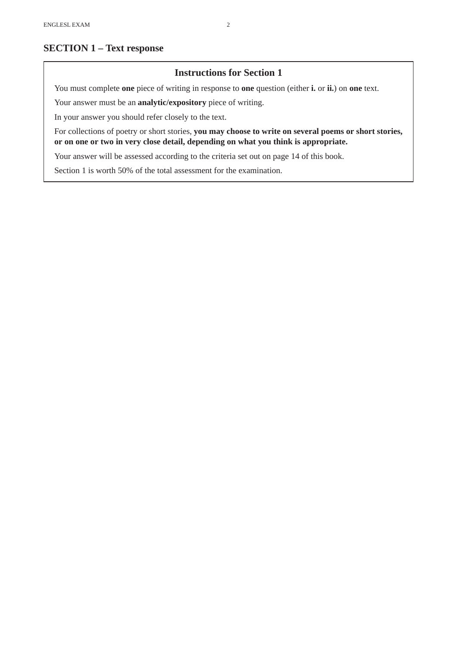# **SECTION 1 – Text response**

## **Instructions for Section 1**

You must complete **one** piece of writing in response to **one** question (either **i.** or **ii.**) on **one** text.

Your answer must be an **analytic/expository** piece of writing.

In your answer you should refer closely to the text.

For collections of poetry or short stories, **you may choose to write on several poems or short stories, or on one or two in very close detail, depending on what you think is appropriate.**

Your answer will be assessed according to the criteria set out on page 14 of this book.

Section 1 is worth 50% of the total assessment for the examination.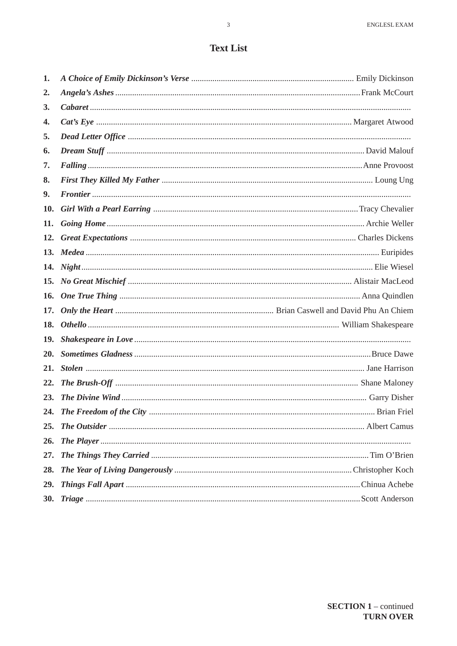# **Text List**

| 1.           |  |
|--------------|--|
| $\mathbf{2}$ |  |
| 3.           |  |
| 4.           |  |
| 5.           |  |
| 6.           |  |
| 7.           |  |
| 8.           |  |
| 9.           |  |
| 10.          |  |
| 11.          |  |
|              |  |
|              |  |
|              |  |
|              |  |
|              |  |
|              |  |
|              |  |
| <b>19.</b>   |  |
|              |  |
|              |  |
| 22.          |  |
| <b>23.</b>   |  |
|              |  |
|              |  |
| <b>26.</b>   |  |
| 27.          |  |
| 28.          |  |
| 29.          |  |
|              |  |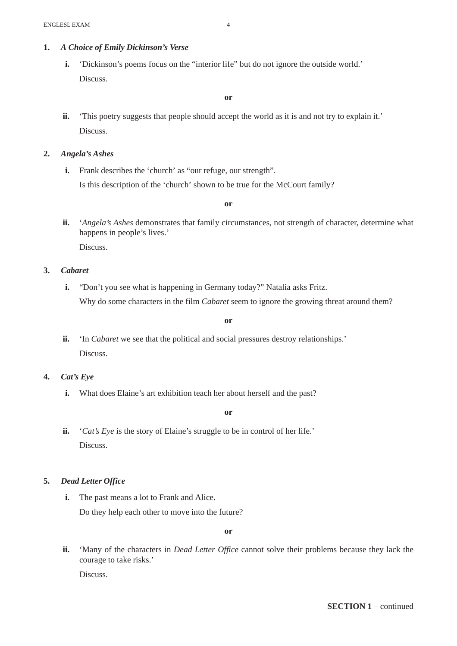## **1.** *A Choice of Emily Dickinson's Verse*

**i.** 'Dickinson's poems focus on the "interior life" but do not ignore the outside world.' Discuss.

## **or**

**ii.** 'This poetry suggests that people should accept the world as it is and not try to explain it.' Discuss.

#### **2.** *Angela's Ashes*

**i.** Frank describes the 'church' as "our refuge, our strength". Is this description of the 'church' shown to be true for the McCourt family?

**or**

**ii.** '*Angela's Ashes* demonstrates that family circumstances, not strength of character, determine what happens in people's lives.' Discuss.

- **3.** *Cabaret*
	- **i.** "Don't you see what is happening in Germany today?" Natalia asks Fritz. Why do some characters in the film *Cabaret* seem to ignore the growing threat around them?

#### **or**

- **ii.** 'In *Cabaret* we see that the political and social pressures destroy relationships.' Discuss.
- **4.** *Cat's Eye*
	- **i.** What does Elaine's art exhibition teach her about herself and the past?

**or**

**ii.** '*Cat's Eye* is the story of Elaine's struggle to be in control of her life.' Discuss.

## **5.** *Dead Letter Office*

**i.** The past means a lot to Frank and Alice. Do they help each other to move into the future?

**or**

**ii.** 'Many of the characters in *Dead Letter Office* cannot solve their problems because they lack the courage to take risks.' Discuss.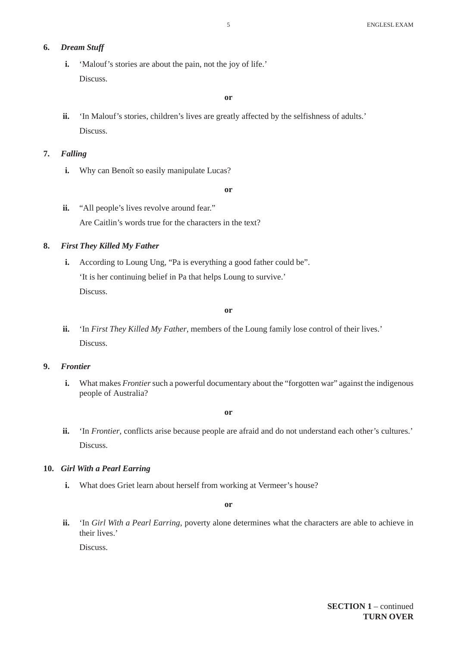## **6.** *Dream Stuff*

**i.** 'Malouf's stories are about the pain, not the joy of life.' Discuss.

## **or**

**ii.** 'In Malouf's stories, children's lives are greatly affected by the selfishness of adults.' Discuss.

## **7.** *Falling*

**i.** Why can Benoît so easily manipulate Lucas?

**or**

ii. "All people's lives revolve around fear." Are Caitlin's words true for the characters in the text?

## **8.** *First They Killed My Father*

**i.** According to Loung Ung, "Pa is everything a good father could be". 'It is her continuing belief in Pa that helps Loung to survive.' Discuss.

**or**

**ii.** 'In *First They Killed My Father*, members of the Loung family lose control of their lives.' Discuss.

## **9.** *Frontier*

**i.** What makes *Frontier* such a powerful documentary about the "forgotten war" against the indigenous people of Australia?

**or**

**ii.** 'In *Frontier*, conflicts arise because people are afraid and do not understand each other's cultures.' Discuss.

## **10.** *Girl With a Pearl Earring*

**i.** What does Griet learn about herself from working at Vermeer's house?

**or**

**ii.** 'In *Girl With a Pearl Earring*, poverty alone determines what the characters are able to achieve in their lives.'

Discuss.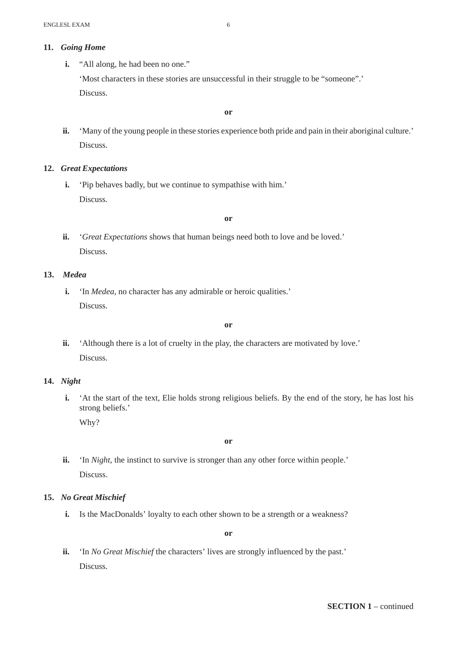## **11.** *Going Home*

**i.** "All along, he had been no one." 'Most characters in these stories are unsuccessful in their struggle to be "someone".' Discuss.

**or**

**ii.** 'Many of the young people in these stories experience both pride and pain in their aboriginal culture.' Discuss.

## **12.** *Great Expectations*

**i.** 'Pip behaves badly, but we continue to sympathise with him.' Discuss.

**or**

**ii.** '*Great Expectations* shows that human beings need both to love and be loved.' Discuss.

## **13.** *Medea*

**i.** 'In *Medea*, no character has any admirable or heroic qualities.' Discuss.

**or**

**ii.** 'Although there is a lot of cruelty in the play, the characters are motivated by love.' Discuss.

## **14.** *Night*

**i.** 'At the start of the text, Elie holds strong religious beliefs. By the end of the story, he has lost his strong beliefs.'

Why?

**or**

**ii.** 'In *Night*, the instinct to survive is stronger than any other force within people.' Discuss.

## **15.** *No Great Mischief*

**i.** Is the MacDonalds' loyalty to each other shown to be a strength or a weakness?

**or**

**ii.** 'In *No Great Mischief* the characters' lives are strongly influenced by the past.' Discuss.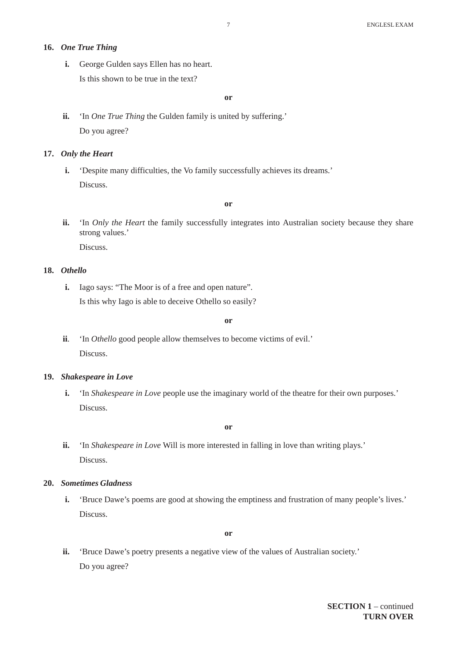## **16.** *One True Thing*

**i.** George Gulden says Ellen has no heart.

Is this shown to be true in the text?

**or**

**ii.** 'In *One True Thing* the Gulden family is united by suffering.' Do you agree?

#### **17.** *Only the Heart*

**i.** 'Despite many difficulties, the Vo family successfully achieves its dreams.' Discuss.

**or**

**ii.** 'In *Only the Heart* the family successfully integrates into Australian society because they share strong values.'

Discuss.

## **18.** *Othello*

**i.** Iago says: "The Moor is of a free and open nature". Is this why Iago is able to deceive Othello so easily?

**or**

**ii**. 'In *Othello* good people allow themselves to become victims of evil.' Discuss.

#### **19.** *Shakespeare in Love*

**i.** 'In *Shakespeare in Love* people use the imaginary world of the theatre for their own purposes.' Discuss.

**or**

**ii.** 'In *Shakespeare in Love* Will is more interested in falling in love than writing plays.' Discuss.

## **20.** *Sometimes Gladness*

**i.** 'Bruce Dawe's poems are good at showing the emptiness and frustration of many people's lives.' Discuss.

**or**

**ii.** 'Bruce Dawe's poetry presents a negative view of the values of Australian society.' Do you agree?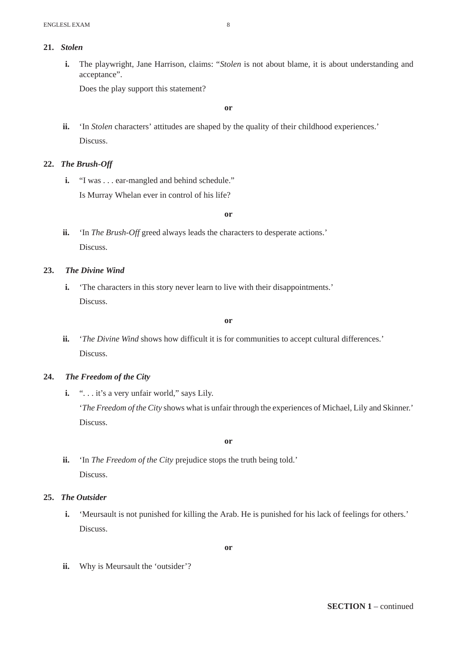**i.** The playwright, Jane Harrison, claims: "*Stolen* is not about blame, it is about understanding and acceptance".

Does the play support this statement?

**or**

**ii.** 'In *Stolen* characters' attitudes are shaped by the quality of their childhood experiences.' Discuss.

## **22.** *The Brush-Off*

**i.** "I was . . . ear-mangled and behind schedule." Is Murray Whelan ever in control of his life?

**or**

**ii.** 'In *The Brush-Off* greed always leads the characters to desperate actions.' Discuss.

## **23.** *The Divine Wind*

**i.** 'The characters in this story never learn to live with their disappointments.' Discuss.

**or**

ii. '*The Divine Wind* shows how difficult it is for communities to accept cultural differences.' Discuss.

## **24.** *The Freedom of the City*

**i.** "... it's a very unfair world," says Lily. '*The Freedom of the City* shows what is unfair through the experiences of Michael, Lily and Skinner.' Discuss.

**or**

**ii.** 'In *The Freedom of the City* prejudice stops the truth being told.' Discuss.

## **25.** *The Outsider*

**i.** 'Meursault is not punished for killing the Arab. He is punished for his lack of feelings for others.' Discuss.

**or**

**ii.** Why is Meursault the 'outsider'?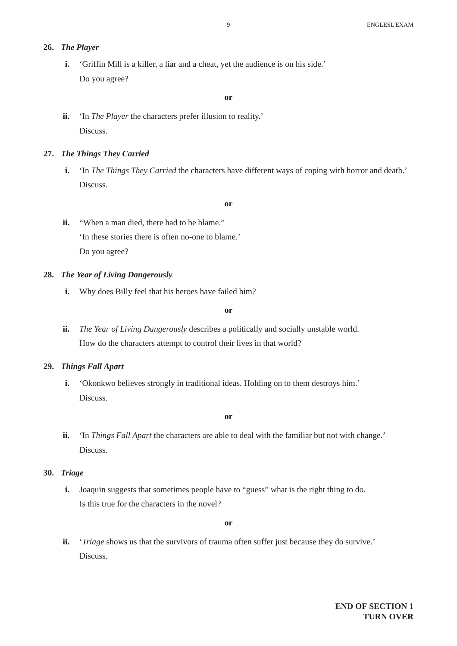## **26.** *The Player*

**i.** 'Griffin Mill is a killer, a liar and a cheat, yet the audience is on his side.' Do you agree?

## **or**

**ii.** 'In *The Player* the characters prefer illusion to reality.' Discuss.

#### **27.** *The Things They Carried*

**i.** 'In *The Things They Carried* the characters have different ways of coping with horror and death.' Discuss.

#### **or**

**ii.** "When a man died, there had to be blame." 'In these stories there is often no-one to blame.' Do you agree?

## **28.** *The Year of Living Dangerously*

**i.** Why does Billy feel that his heroes have failed him?

## **or**

**ii.** *The Year of Living Dangerously* describes a politically and socially unstable world. How do the characters attempt to control their lives in that world?

## **29.** *Things Fall Apart*

**i.** 'Okonkwo believes strongly in traditional ideas. Holding on to them destroys him.' Discuss.

#### **or**

**ii.** 'In *Things Fall Apart* the characters are able to deal with the familiar but not with change.' Discuss.

## **30.** *Triage*

**i.** Joaquin suggests that sometimes people have to "guess" what is the right thing to do. Is this true for the characters in the novel?

#### **or**

**ii.** '*Triage* shows us that the survivors of trauma often suffer just because they do survive.' Discuss.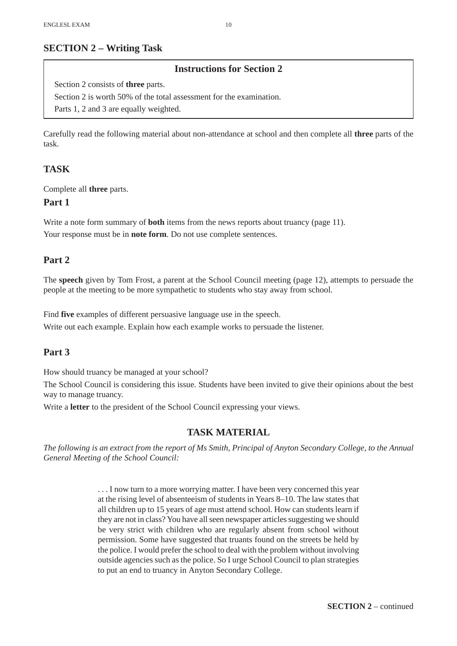# **SECTION 2 – Writing Task**

## **Instructions for Section 2**

Section 2 consists of **three** parts. Section 2 is worth 50% of the total assessment for the examination. Parts 1, 2 and 3 are equally weighted.

Carefully read the following material about non-attendance at school and then complete all **three** parts of the task.

## **TASK**

Complete all **three** parts.

## **Part 1**

Write a note form summary of **both** items from the news reports about truancy (page 11). Your response must be in **note form**. Do not use complete sentences.

## **Part 2**

The **speech** given by Tom Frost, a parent at the School Council meeting (page 12), attempts to persuade the people at the meeting to be more sympathetic to students who stay away from school.

Find **five** examples of different persuasive language use in the speech. Write out each example. Explain how each example works to persuade the listener.

## **Part 3**

How should truancy be managed at your school?

The School Council is considering this issue. Students have been invited to give their opinions about the best way to manage truancy.

Write a **letter** to the president of the School Council expressing your views.

## **TASK MATERIAL**

*The following is an extract from the report of Ms Smith, Principal of Anyton Secondary College, to the Annual General Meeting of the School Council:*

> . . . I now turn to a more worrying matter. I have been very concerned this year at the rising level of absenteeism of students in Years 8–10. The law states that all children up to 15 years of age must attend school. How can students learn if they are not in class? You have all seen newspaper articles suggesting we should be very strict with children who are regularly absent from school without permission. Some have suggested that truants found on the streets be held by the police. I would prefer the school to deal with the problem without involving outside agencies such as the police. So I urge School Council to plan strategies to put an end to truancy in Anyton Secondary College.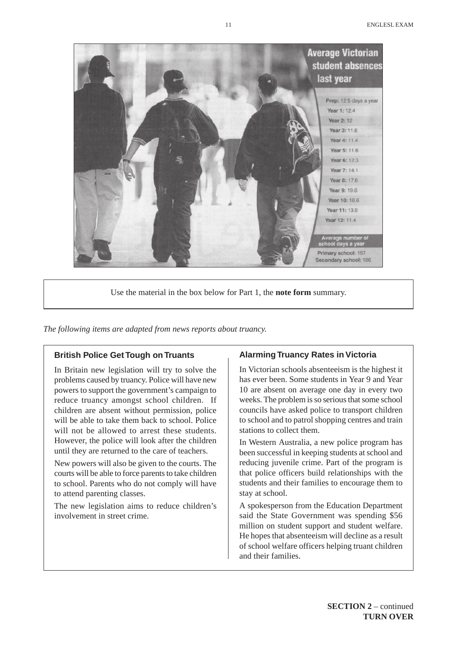

Use the material in the box below for Part 1, the **note form** summary.

*The following items are adapted from news reports about truancy.*

## **British Police Get Tough on Truants**

In Britain new legislation will try to solve the problems caused by truancy. Police will have new powers to support the government's campaign to reduce truancy amongst school children. If children are absent without permission, police will be able to take them back to school. Police will not be allowed to arrest these students. However, the police will look after the children until they are returned to the care of teachers.

New powers will also be given to the courts. The courts will be able to force parents to take children to school. Parents who do not comply will have to attend parenting classes.

The new legislation aims to reduce children's involvement in street crime.

#### **Alarming Truancy Rates in Victoria**

In Victorian schools absenteeism is the highest it has ever been. Some students in Year 9 and Year 10 are absent on average one day in every two weeks. The problem is so serious that some school councils have asked police to transport children to school and to patrol shopping centres and train stations to collect them.

In Western Australia, a new police program has been successful in keeping students at school and reducing juvenile crime. Part of the program is that police officers build relationships with the students and their families to encourage them to stay at school.

A spokesperson from the Education Department said the State Government was spending \$56 million on student support and student welfare. He hopes that absenteeism will decline as a result of school welfare officers helping truant children and their families.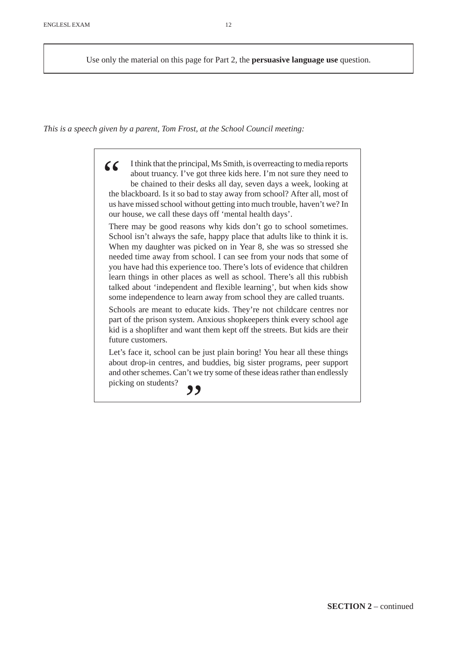Use only the material on this page for Part 2, the **persuasive language use** question.

*This is a speech given by a parent, Tom Frost, at the School Council meeting:*

(Ithink that the principal, Ms Smith, is overreacting to media reports<br>about truancy. I've got three kids here. I'm not sure they need to<br>be chained to their desks all day, seven days a week, looking at<br>the blackboard. Is about truancy. I've got three kids here. I'm not sure they need to be chained to their desks all day, seven days a week, looking at the blackboard. Is it so bad to stay away from school? After all, most of us have missed school without getting into much trouble, haven't we? In our house, we call these days off 'mental health days'.

There may be good reasons why kids don't go to school sometimes. School isn't always the safe, happy place that adults like to think it is. When my daughter was picked on in Year 8, she was so stressed she needed time away from school. I can see from your nods that some of you have had this experience too. There's lots of evidence that children learn things in other places as well as school. There's all this rubbish talked about 'independent and flexible learning', but when kids show some independence to learn away from school they are called truants.

Schools are meant to educate kids. They're not childcare centres nor part of the prison system. Anxious shopkeepers think every school age kid is a shoplifter and want them kept off the streets. But kids are their future customers.

Let's face it, school can be just plain boring! You hear all these things about drop-in centres, and buddies, big sister programs, peer support and other schemes. Can't we try some of these ideas rather than endlessly picking on students?  $\bigcirc$ 

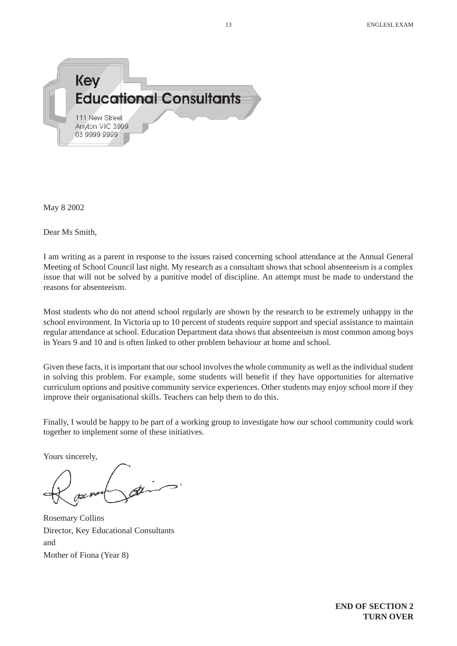

May 8 2002

Dear Ms Smith,

I am writing as a parent in response to the issues raised concerning school attendance at the Annual General Meeting of School Council last night. My research as a consultant shows that school absenteeism is a complex issue that will not be solved by a punitive model of discipline. An attempt must be made to understand the reasons for absenteeism.

Most students who do not attend school regularly are shown by the research to be extremely unhappy in the school environment. In Victoria up to 10 percent of students require support and special assistance to maintain regular attendance at school. Education Department data shows that absenteeism is most common among boys in Years 9 and 10 and is often linked to other problem behaviour at home and school.

Given these facts, it is important that our school involves the whole community as well as the individual student in solving this problem. For example, some students will benefit if they have opportunities for alternative curriculum options and positive community service experiences. Other students may enjoy school more if they improve their organisational skills. Teachers can help them to do this.

Finally, I would be happy to be part of a working group to investigate how our school community could work together to implement some of these initiatives.

Yours sincerely,

Rosemary Collins Director, Key Educational Consultants and Mother of Fiona (Year 8)

**END OF SECTION 2 TURN OVER**